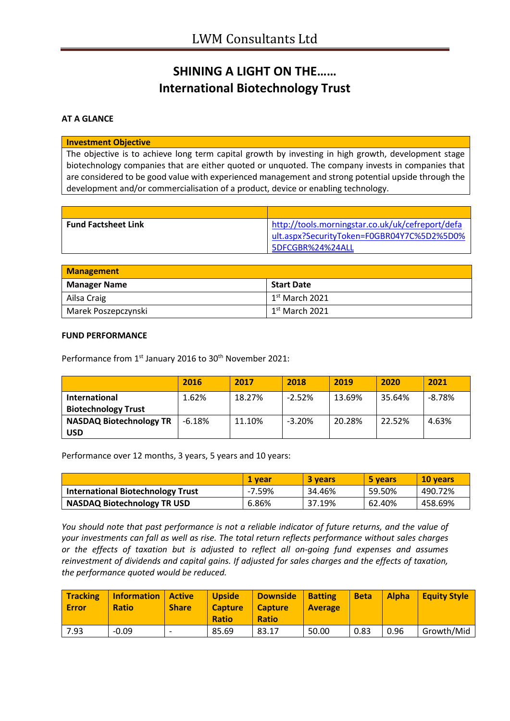# **SHINING A LIGHT ON THE…… International Biotechnology Trust**

### **AT A GLANCE**

#### **Investment Objective**

The objective is to achieve long term capital growth by investing in high growth, development stage biotechnology companies that are either quoted or unquoted. The company invests in companies that are considered to be good value with experienced management and strong potential upside through the development and/or commercialisation of a product, device or enabling technology.

| <b>Fund Factsheet Link</b> | http://tools.morningstar.co.uk/uk/cefreport/defa |
|----------------------------|--------------------------------------------------|
|                            | lult.aspx?SecurityToken=F0GBR04Y7C%5D2%5D0%      |
|                            | 5DFCGBR%24%24ALL                                 |

| <b>Management</b>   |                   |  |
|---------------------|-------------------|--|
| <b>Manager Name</b> | <b>Start Date</b> |  |
| Ailsa Craig         | $1st$ March 2021  |  |
| Marek Poszepczynski | $1st$ March 2021  |  |

#### **FUND PERFORMANCE**

Performance from 1<sup>st</sup> January 2016 to 30<sup>th</sup> November 2021:

|                                | 2016     | 2017   | 2018     | 2019   | 2020   | 2021     |
|--------------------------------|----------|--------|----------|--------|--------|----------|
| <b>International</b>           | 1.62%    | 18.27% | $-2.52%$ | 13.69% | 35.64% | $-8.78%$ |
| <b>Biotechnology Trust</b>     |          |        |          |        |        |          |
| <b>NASDAQ Biotechnology TR</b> | $-6.18%$ | 11.10% | $-3.20%$ | 20.28% | 22.52% | 4.63%    |
| <b>USD</b>                     |          |        |          |        |        |          |

Performance over 12 months, 3 years, 5 years and 10 years:

|                                          | 1 vear | 3 years | 5 years | 10 vears |
|------------------------------------------|--------|---------|---------|----------|
| <b>International Biotechnology Trust</b> | -7.59% | 34.46%  | 59.50%  | 490.72%  |
| <b>NASDAQ Biotechnology TR USD</b>       | 6.86%  | 37.19%  | 62.40%  | 458.69%  |

*You should note that past performance is not a reliable indicator of future returns, and the value of your investments can fall as well as rise. The total return reflects performance without sales charges or the effects of taxation but is adjusted to reflect all on-going fund expenses and assumes reinvestment of dividends and capital gains. If adjusted for sales charges and the effects of taxation, the performance quoted would be reduced.*

| <b>Tracking</b><br><b>Error</b> | <b>Information   Active</b><br><b>Ratio</b> | <b>Share</b> | <b>Upside</b><br><b>Capture</b><br><b>Ratio</b> | Downside<br><b>Capture</b><br><b>Ratio</b> | <b>Batting</b><br><b>Average</b> | <b>Beta</b> | <b>Alpha</b> | Eauity Style |
|---------------------------------|---------------------------------------------|--------------|-------------------------------------------------|--------------------------------------------|----------------------------------|-------------|--------------|--------------|
| 7.93                            | $-0.09$                                     |              | 85.69                                           | 83.17                                      | 50.00                            | 0.83        | 0.96         | Growth/Mid   |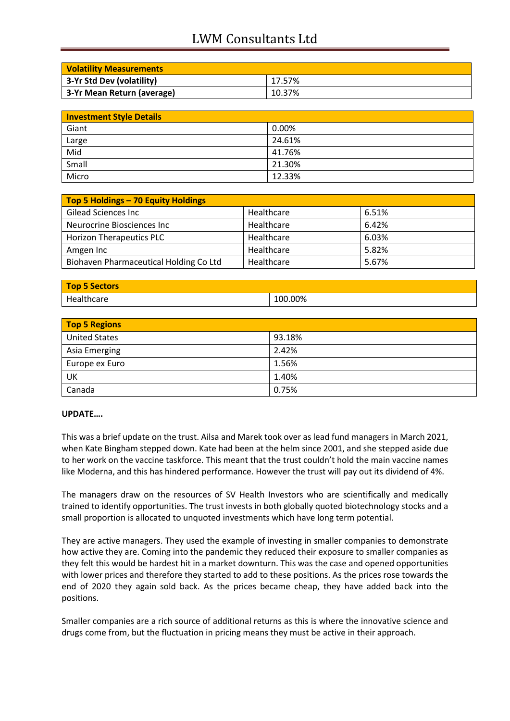## LWM Consultants Ltd

| <b>Volatility Measurements</b> |        |
|--------------------------------|--------|
| 3-Yr Std Dev (volatility)      | 17.57% |
| 3-Yr Mean Return (average)     | 10.37% |

| <b>Investment Style Details</b> |        |  |
|---------------------------------|--------|--|
| Giant                           | 0.00%  |  |
| Large                           | 24.61% |  |
| Mid                             | 41.76% |  |
| Small                           | 21.30% |  |
| Micro                           | 12.33% |  |

| Top 5 Holdings - 70 Equity Holdings    |            |       |
|----------------------------------------|------------|-------|
| <b>Gilead Sciences Inc</b>             | Healthcare | 6.51% |
| Neurocrine Biosciences Inc             | Healthcare | 6.42% |
| <b>Horizon Therapeutics PLC</b>        | Healthcare | 6.03% |
| Amgen Inc                              | Healthcare | 5.82% |
| Biohaven Pharmaceutical Holding Co Ltd | Healthcare | 5.67% |

| Top 5 Sectors |         |
|---------------|---------|
| Healthcare    | 100.00% |

| <b>Top 5 Regions</b> |        |  |
|----------------------|--------|--|
| <b>United States</b> | 93.18% |  |
| Asia Emerging        | 2.42%  |  |
| Europe ex Euro       | 1.56%  |  |
| UK                   | 1.40%  |  |
| Canada               | 0.75%  |  |

### **UPDATE….**

This was a brief update on the trust. Ailsa and Marek took over as lead fund managers in March 2021, when Kate Bingham stepped down. Kate had been at the helm since 2001, and she stepped aside due to her work on the vaccine taskforce. This meant that the trust couldn't hold the main vaccine names like Moderna, and this has hindered performance. However the trust will pay out its dividend of 4%.

The managers draw on the resources of SV Health Investors who are scientifically and medically trained to identify opportunities. The trust invests in both globally quoted biotechnology stocks and a small proportion is allocated to unquoted investments which have long term potential.

They are active managers. They used the example of investing in smaller companies to demonstrate how active they are. Coming into the pandemic they reduced their exposure to smaller companies as they felt this would be hardest hit in a market downturn. This was the case and opened opportunities with lower prices and therefore they started to add to these positions. As the prices rose towards the end of 2020 they again sold back. As the prices became cheap, they have added back into the positions.

Smaller companies are a rich source of additional returns as this is where the innovative science and drugs come from, but the fluctuation in pricing means they must be active in their approach.